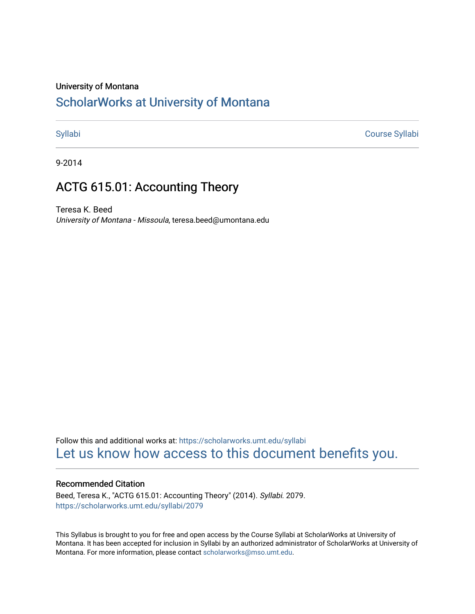#### University of Montana

# [ScholarWorks at University of Montana](https://scholarworks.umt.edu/)

[Syllabi](https://scholarworks.umt.edu/syllabi) [Course Syllabi](https://scholarworks.umt.edu/course_syllabi) 

9-2014

# ACTG 615.01: Accounting Theory

Teresa K. Beed University of Montana - Missoula, teresa.beed@umontana.edu

Follow this and additional works at: [https://scholarworks.umt.edu/syllabi](https://scholarworks.umt.edu/syllabi?utm_source=scholarworks.umt.edu%2Fsyllabi%2F2079&utm_medium=PDF&utm_campaign=PDFCoverPages)  [Let us know how access to this document benefits you.](https://goo.gl/forms/s2rGfXOLzz71qgsB2) 

#### Recommended Citation

Beed, Teresa K., "ACTG 615.01: Accounting Theory" (2014). Syllabi. 2079. [https://scholarworks.umt.edu/syllabi/2079](https://scholarworks.umt.edu/syllabi/2079?utm_source=scholarworks.umt.edu%2Fsyllabi%2F2079&utm_medium=PDF&utm_campaign=PDFCoverPages)

This Syllabus is brought to you for free and open access by the Course Syllabi at ScholarWorks at University of Montana. It has been accepted for inclusion in Syllabi by an authorized administrator of ScholarWorks at University of Montana. For more information, please contact [scholarworks@mso.umt.edu.](mailto:scholarworks@mso.umt.edu)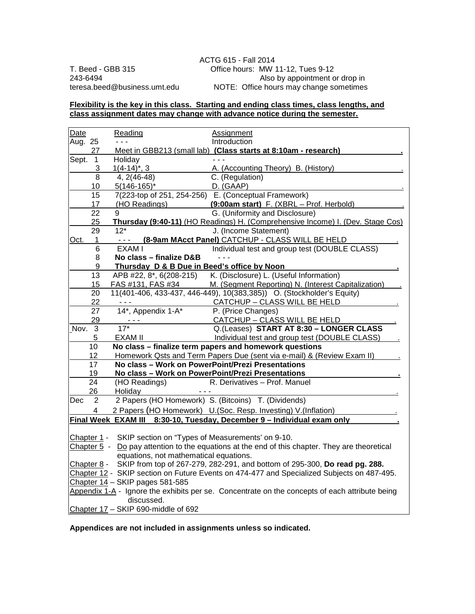ACTG 615 - Fall 2014 T. Beed - GBB 315 Office hours: MW 11-12, Tues 9-12<br>243-6494 Also by appointment o 243-6494 Also by appointment or drop in<br>teresa.beed@business.umt.edu MOTE: Office hours may change sometimes NOTE: Office hours may change sometimes.

#### **Flexibility is the key in this class. Starting and ending class times, class lengths, and class assignment dates may change with advance notice during the semester.**

| Date                                                                                                            |                 | Reading                                                                | <b>Assignment</b>                                                              |  |
|-----------------------------------------------------------------------------------------------------------------|-----------------|------------------------------------------------------------------------|--------------------------------------------------------------------------------|--|
| Aug. 25                                                                                                         |                 |                                                                        | Introduction                                                                   |  |
|                                                                                                                 | 27              |                                                                        | Meet in GBB213 (small lab) (Class starts at 8:10am - research)                 |  |
| Sept.                                                                                                           | $\mathbf{1}$    | Holiday                                                                |                                                                                |  |
|                                                                                                                 | 3               | $1(4-14)^{*}$ , 3                                                      | A. (Accounting Theory) B. (History)                                            |  |
|                                                                                                                 | 8               | 4, 2(46-48)                                                            | C. (Regulation)                                                                |  |
|                                                                                                                 | 10              | $5(146-165)^{*}$                                                       | D. (GAAP)                                                                      |  |
|                                                                                                                 | 15              |                                                                        | 7(223-top of 251, 254-256) E. (Conceptual Framework)                           |  |
|                                                                                                                 | 17              | (HO Readings)                                                          | (9:00am start) F. (XBRL - Prof. Herbold)                                       |  |
|                                                                                                                 | 22              | 9                                                                      | G. (Uniformity and Disclosure)                                                 |  |
|                                                                                                                 | 25              |                                                                        | Thursday (9:40-11) (HO Readings) H. (Comprehensive Income) I. (Dev. Stage Cos) |  |
|                                                                                                                 | 29              | $12*$                                                                  | J. (Income Statement)                                                          |  |
| Oct.                                                                                                            | 1               | $\sim$ $\sim$ $\sim$                                                   | (8-9am MAcct Panel) CATCHUP - CLASS WILL BE HELD                               |  |
|                                                                                                                 | 6               | EXAM I                                                                 | Individual test and group test (DOUBLE CLASS)                                  |  |
|                                                                                                                 | 8               | No class - finalize D&B                                                |                                                                                |  |
|                                                                                                                 | 9               |                                                                        | Thursday D & B Due in Beed's office by Noon                                    |  |
|                                                                                                                 | 13              | APB #22, 8*, 6(208-215)                                                | K. (Disclosure) L. (Useful Information)                                        |  |
|                                                                                                                 | 15              | FAS #131, FAS #34                                                      | M. (Segment Reporting) N. (Interest Capitalization)                            |  |
|                                                                                                                 | 20              |                                                                        | 11(401-406, 433-437, 446-449), 10(383,385)) O. (Stockholder's Equity)          |  |
|                                                                                                                 | 22              | $  -$                                                                  | CATCHUP - CLASS WILL BE HELD                                                   |  |
|                                                                                                                 | 27              | 14*, Appendix 1-A*                                                     | P. (Price Changes)                                                             |  |
|                                                                                                                 | 29              |                                                                        | CATCHUP - CLASS WILL BE HELD                                                   |  |
| Nov.                                                                                                            | 3               | $17*$                                                                  | Q.(Leases) START AT 8:30 - LONGER CLASS                                        |  |
|                                                                                                                 | 5               | <b>EXAM II</b>                                                         | Individual test and group test (DOUBLE CLASS)                                  |  |
|                                                                                                                 | 10              | No class - finalize term papers and homework questions                 |                                                                                |  |
|                                                                                                                 | 12              | Homework Qsts and Term Papers Due (sent via e-mail) & (Review Exam II) |                                                                                |  |
|                                                                                                                 | 17              | No class - Work on PowerPoint/Prezi Presentations                      |                                                                                |  |
|                                                                                                                 | 19              |                                                                        | No class - Work on PowerPoint/Prezi Presentations                              |  |
|                                                                                                                 | $\overline{24}$ | (HO Readings)                                                          | R. Derivatives - Prof. Manuel                                                  |  |
|                                                                                                                 | 26              | Holiday                                                                | $  -$                                                                          |  |
| Dec                                                                                                             | $\overline{2}$  |                                                                        | 2 Papers (HO Homework) S. (Bitcoins) T. (Dividends)                            |  |
|                                                                                                                 | 4               |                                                                        | 2 Papers (HO Homework) U. (Soc. Resp. Investing) V. (Inflation)                |  |
|                                                                                                                 |                 |                                                                        | Final Week EXAM III 8:30-10, Tuesday, December 9 - Individual exam only        |  |
|                                                                                                                 |                 |                                                                        |                                                                                |  |
|                                                                                                                 |                 |                                                                        | SKIP section on "Types of Measurements' on 9-10.                               |  |
| Chapter 1 -<br>Chapter $5 - Do$ pay attention to the equations at the end of this chapter. They are theoretical |                 |                                                                        |                                                                                |  |
| equations, not mathematical equations.                                                                          |                 |                                                                        |                                                                                |  |
| SKIP from top of 267-279, 282-291, and bottom of 295-300, Do read pg. 288.<br>Chapter 8 -                       |                 |                                                                        |                                                                                |  |
| Chapter 12 - SKIP section on Future Events on 474-477 and Specialized Subjects on 487-495.                      |                 |                                                                        |                                                                                |  |
| Chapter 14 - SKIP pages 581-585                                                                                 |                 |                                                                        |                                                                                |  |
| Appendix 1-A - Ignore the exhibits per se. Concentrate on the concepts of each attribute being                  |                 |                                                                        |                                                                                |  |
| discussed.                                                                                                      |                 |                                                                        |                                                                                |  |
|                                                                                                                 |                 |                                                                        |                                                                                |  |
|                                                                                                                 |                 | Chapter 17 - SKIP 690-middle of 692                                    |                                                                                |  |

**Appendices are not included in assignments unless so indicated.**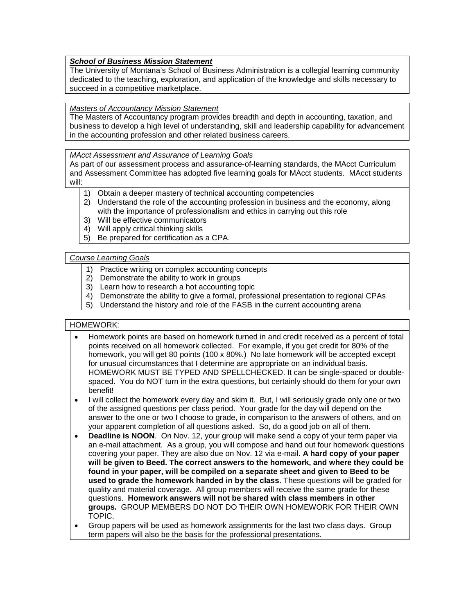# *School of Business Mission Statement*

The University of Montana's School of Business Administration is a collegial learning community dedicated to the teaching, exploration, and application of the knowledge and skills necessary to succeed in a competitive marketplace.

*Masters of Accountancy Mission Statement*

The Masters of Accountancy program provides breadth and depth in accounting, taxation, and business to develop a high level of understanding, skill and leadership capability for advancement in the accounting profession and other related business careers.

*MAcct Assessment and Assurance of Learning Goals* 

As part of our assessment process and assurance-of-learning standards, the MAcct Curriculum and Assessment Committee has adopted five learning goals for MAcct students. MAcct students will:

- 1) Obtain a deeper mastery of technical accounting competencies
- 2) Understand the role of the accounting profession in business and the economy, along with the importance of professionalism and ethics in carrying out this role
- 3) Will be effective communicators
- 4) Will apply critical thinking skills
- 5) Be prepared for certification as a CPA.

#### *Course Learning Goals*

- 1) Practice writing on complex accounting concepts
- 2) Demonstrate the ability to work in groups
- 3) Learn how to research a hot accounting topic
- 4) Demonstrate the ability to give a formal, professional presentation to regional CPAs
- 5) Understand the history and role of the FASB in the current accounting arena

#### HOMEWORK:

- Homework points are based on homework turned in and credit received as a percent of total points received on all homework collected. For example, if you get credit for 80% of the homework, you will get 80 points (100 x 80%.) No late homework will be accepted except for unusual circumstances that I determine are appropriate on an individual basis. HOMEWORK MUST BE TYPED AND SPELLCHECKED. It can be single-spaced or doublespaced. You do NOT turn in the extra questions, but certainly should do them for your own benefit!
- I will collect the homework every day and skim it. But, I will seriously grade only one or two of the assigned questions per class period. Your grade for the day will depend on the answer to the one or two I choose to grade, in comparison to the answers of others, and on your apparent completion of all questions asked. So, do a good job on all of them.
- **Deadline is NOON**. On Nov. 12, your group will make send a copy of your term paper via an e-mail attachment. As a group, you will compose and hand out four homework questions covering your paper. They are also due on Nov. 12 via e-mail. **A hard copy of your paper will be given to Beed. The correct answers to the homework, and where they could be found in your paper, will be compiled on a separate sheet and given to Beed to be used to grade the homework handed in by the class.** These questions will be graded for quality and material coverage. All group members will receive the same grade for these questions. **Homework answers will not be shared with class members in other groups.** GROUP MEMBERS DO NOT DO THEIR OWN HOMEWORK FOR THEIR OWN TOPIC.
- Group papers will be used as homework assignments for the last two class days. Group term papers will also be the basis for the professional presentations.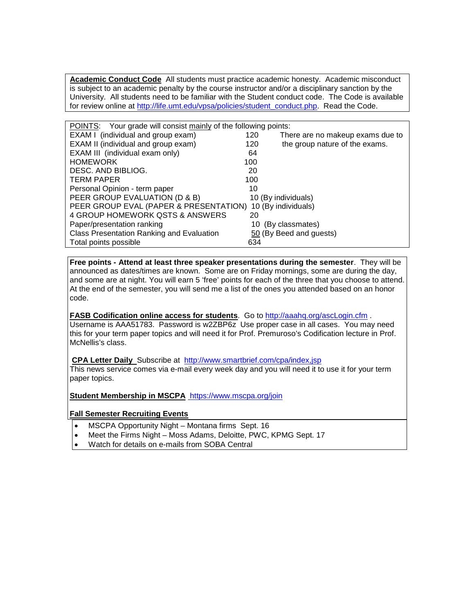**Academic Conduct Code** All students must practice academic honesty. Academic misconduct is subject to an academic penalty by the course instructor and/or a disciplinary sanction by the University. All students need to be familiar with the Student conduct code. The Code is available for review online at [http://life.umt.edu/vpsa/policies/student\\_conduct.php.](http://life.umt.edu/vpsa/policies/student_conduct.php) Read the Code.

| <b>POINTS:</b> Your grade will consist mainly of the following points: |                                         |  |  |  |
|------------------------------------------------------------------------|-----------------------------------------|--|--|--|
| EXAM I (individual and group exam)                                     | 120<br>There are no makeup exams due to |  |  |  |
| EXAM II (individual and group exam)                                    | the group nature of the exams.<br>120   |  |  |  |
| EXAM III (individual exam only)                                        | 64                                      |  |  |  |
| <b>HOMEWORK</b>                                                        | 100                                     |  |  |  |
| DESC. AND BIBLIOG.                                                     | 20                                      |  |  |  |
| <b>TERM PAPER</b>                                                      | 100                                     |  |  |  |
| Personal Opinion - term paper                                          | 10                                      |  |  |  |
| PEER GROUP EVALUATION (D & B)                                          | 10 (By individuals)                     |  |  |  |
| PEER GROUP EVAL (PAPER & PRESENTATION)                                 | 10 (By individuals)                     |  |  |  |
| 4 GROUP HOMEWORK QSTS & ANSWERS                                        | 20                                      |  |  |  |
| Paper/presentation ranking                                             | (By classmates)<br>10                   |  |  |  |
| Class Presentation Ranking and Evaluation                              | 50 (By Beed and guests)                 |  |  |  |
| Total points possible                                                  | 634                                     |  |  |  |

**Free points - Attend at least three speaker presentations during the semester**. They will be announced as dates/times are known. Some are on Friday mornings, some are during the day, and some are at night. You will earn 5 'free' points for each of the three that you choose to attend. At the end of the semester, you will send me a list of the ones you attended based on an honor code.

**FASB Codification online access for students**. Go to<http://aaahq.org/ascLogin.cfm> . Username is AAA51783. Password is w2ZBP6z Use proper case in all cases. You may need this for your term paper topics and will need it for Prof. Premuroso's Codification lecture in Prof. McNellis's class.

**CPA Letter Daily** Subscribe at <http://www.smartbrief.com/cpa/index,jsp>

This news service comes via e-mail every week day and you will need it to use it for your term paper topics.

**Student Membership in MSCPA** <https://www.mscpa.org/join>

#### **Fall Semester Recruiting Events**

- MSCPA Opportunity Night Montana firms Sept. 16
- Meet the Firms Night Moss Adams, Deloitte, PWC, KPMG Sept. 17
- Watch for details on e-mails from SOBA Central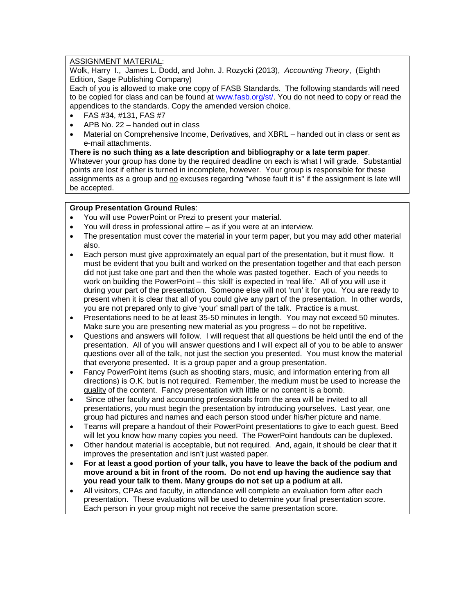## ASSIGNMENT MATERIAL:

Wolk, Harry I., James L. Dodd, and John. J. Rozycki (2013), *Accounting Theory*, (Eighth Edition, Sage Publishing Company)

Each of you is allowed to make one copy of FASB Standards. The following standards will need to be copied for class and can be found at [www.fasb.org/st/.](http://www.fasb.org/st/) You do not need to copy or read the appendices to the standards. Copy the amended version choice.

- FAS #34, #131, FAS #7
- APB No. 22 handed out in class
- Material on Comprehensive Income, Derivatives, and XBRL handed out in class or sent as e-mail attachments.

**There is no such thing as a late description and bibliography or a late term paper**. Whatever your group has done by the required deadline on each is what I will grade. Substantial points are lost if either is turned in incomplete, however. Your group is responsible for these assignments as a group and no excuses regarding "whose fault it is" if the assignment is late will be accepted.

#### **Group Presentation Ground Rules**:

- You will use PowerPoint or Prezi to present your material.
- You will dress in professional attire as if you were at an interview.
- The presentation must cover the material in your term paper, but you may add other material also.
- Each person must give approximately an equal part of the presentation, but it must flow. It must be evident that you built and worked on the presentation together and that each person did not just take one part and then the whole was pasted together. Each of you needs to work on building the PowerPoint – this 'skill' is expected in 'real life.' All of you will use it during your part of the presentation. Someone else will not 'run' it for you. You are ready to present when it is clear that all of you could give any part of the presentation. In other words, you are not prepared only to give 'your' small part of the talk. Practice is a must.
- Presentations need to be at least 35-50 minutes in length. You may not exceed 50 minutes. Make sure you are presenting new material as you progress – do not be repetitive.
- Questions and answers will follow. I will request that all questions be held until the end of the presentation. All of you will answer questions and I will expect all of you to be able to answer questions over all of the talk, not just the section you presented. You must know the material that everyone presented. It is a group paper and a group presentation.
- Fancy PowerPoint items (such as shooting stars, music, and information entering from all directions) is O.K. but is not required. Remember, the medium must be used to increase the quality of the content. Fancy presentation with little or no content is a bomb.
- Since other faculty and accounting professionals from the area will be invited to all presentations, you must begin the presentation by introducing yourselves. Last year, one group had pictures and names and each person stood under his/her picture and name.
- Teams will prepare a handout of their PowerPoint presentations to give to each guest. Beed will let you know how many copies you need. The PowerPoint handouts can be duplexed.
- Other handout material is acceptable, but not required. And, again, it should be clear that it improves the presentation and isn't just wasted paper.
- **For at least a good portion of your talk, you have to leave the back of the podium and move around a bit in front of the room. Do not end up having the audience say that you read your talk to them. Many groups do not set up a podium at all.**
- All visitors, CPAs and faculty, in attendance will complete an evaluation form after each presentation. These evaluations will be used to determine your final presentation score. Each person in your group might not receive the same presentation score.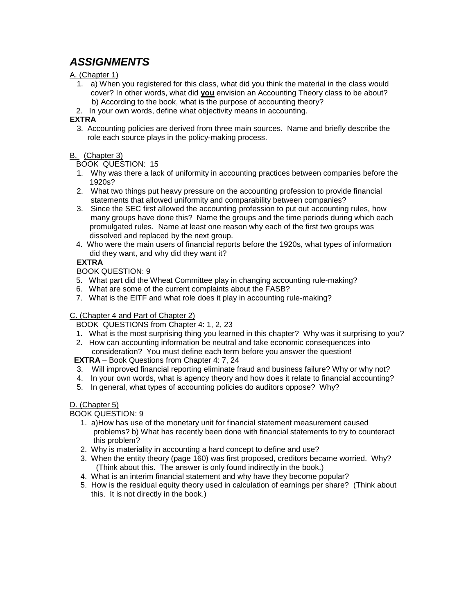# *ASSIGNMENTS*

# A. (Chapter 1)

- 1. a) When you registered for this class, what did you think the material in the class would cover? In other words, what did **you** envision an Accounting Theory class to be about? b) According to the book, what is the purpose of accounting theory?
- 2. In your own words, define what objectivity means in accounting.

# **EXTRA**

3. Accounting policies are derived from three main sources. Name and briefly describe the role each source plays in the policy-making process.

# B. (Chapter 3)

BOOK QUESTION: 15

- 1. Why was there a lack of uniformity in accounting practices between companies before the 1920s?
- 2. What two things put heavy pressure on the accounting profession to provide financial statements that allowed uniformity and comparability between companies?
- 3. Since the SEC first allowed the accounting profession to put out accounting rules, how many groups have done this? Name the groups and the time periods during which each promulgated rules. Name at least one reason why each of the first two groups was dissolved and replaced by the next group.
- 4. Who were the main users of financial reports before the 1920s, what types of information did they want, and why did they want it?

# **EXTRA**

BOOK QUESTION: 9

- 5. What part did the Wheat Committee play in changing accounting rule-making?
- 6. What are some of the current complaints about the FASB?
- 7. What is the EITF and what role does it play in accounting rule-making?

#### C. (Chapter 4 and Part of Chapter 2)

BOOK QUESTIONS from Chapter 4: 1, 2, 23

- 1. What is the most surprising thing you learned in this chapter? Why was it surprising to you?
- 2. How can accounting information be neutral and take economic consequences into consideration? You must define each term before you answer the question!

 **EXTRA** – Book Questions from Chapter 4: 7, 24

- 3. Will improved financial reporting eliminate fraud and business failure? Why or why not?
- 4. In your own words, what is agency theory and how does it relate to financial accounting?
- 5. In general, what types of accounting policies do auditors oppose? Why?

#### D. (Chapter 5)

BOOK QUESTION: 9

- 1. a)How has use of the monetary unit for financial statement measurement caused problems? b) What has recently been done with financial statements to try to counteract this problem?
- 2. Why is materiality in accounting a hard concept to define and use?
- 3. When the entity theory (page 160) was first proposed, creditors became worried. Why? (Think about this. The answer is only found indirectly in the book.)
- 4. What is an interim financial statement and why have they become popular?
- 5. How is the residual equity theory used in calculation of earnings per share? (Think about this. It is not directly in the book.)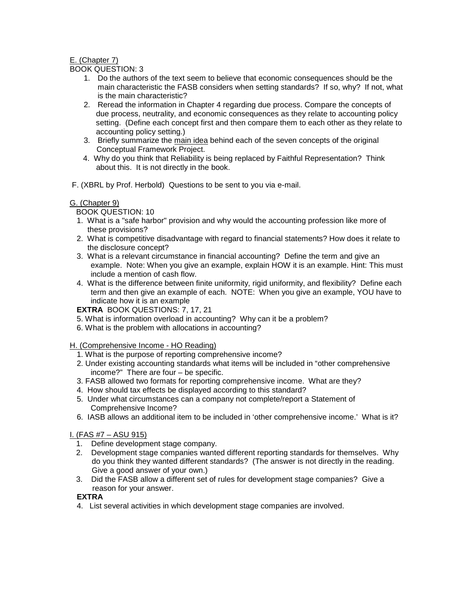## E. (Chapter 7)

BOOK QUESTION: 3

- 1. Do the authors of the text seem to believe that economic consequences should be the main characteristic the FASB considers when setting standards? If so, why? If not, what is the main characteristic?
- 2. Reread the information in Chapter 4 regarding due process. Compare the concepts of due process, neutrality, and economic consequences as they relate to accounting policy setting. (Define each concept first and then compare them to each other as they relate to accounting policy setting.)
- 3. Briefly summarize the main idea behind each of the seven concepts of the original Conceptual Framework Project.
- 4. Why do you think that Reliability is being replaced by Faithful Representation? Think about this. It is not directly in the book.
- F. (XBRL by Prof. Herbold) Questions to be sent to you via e-mail.

## G. (Chapter 9)

BOOK QUESTION: 10

- 1. What is a "safe harbor" provision and why would the accounting profession like more of these provisions?
- 2. What is competitive disadvantage with regard to financial statements? How does it relate to the disclosure concept?
- 3. What is a relevant circumstance in financial accounting? Define the term and give an example. Note: When you give an example, explain HOW it is an example. Hint: This must include a mention of cash flow.
- 4. What is the difference between finite uniformity, rigid uniformity, and flexibility? Define each term and then give an example of each. NOTE: When you give an example, YOU have to indicate how it is an example

**EXTRA** BOOK QUESTIONS: 7, 17, 21

- 5. What is information overload in accounting? Why can it be a problem?
- 6. What is the problem with allocations in accounting?

H. (Comprehensive Income - HO Reading)

- 1. What is the purpose of reporting comprehensive income?
- 2. Under existing accounting standards what items will be included in "other comprehensive income?" There are four – be specific.
- 3. FASB allowed two formats for reporting comprehensive income. What are they?
- 4. How should tax effects be displayed according to this standard?
- 5. Under what circumstances can a company not complete/report a Statement of Comprehensive Income?
- 6. IASB allows an additional item to be included in 'other comprehensive income.' What is it?

# I. (FAS #7 – ASU 915)

- 1. Define development stage company.
- 2. Development stage companies wanted different reporting standards for themselves. Why do you think they wanted different standards? (The answer is not directly in the reading. Give a good answer of your own.)
- 3. Did the FASB allow a different set of rules for development stage companies? Give a reason for your answer.

# **EXTRA**

4. List several activities in which development stage companies are involved.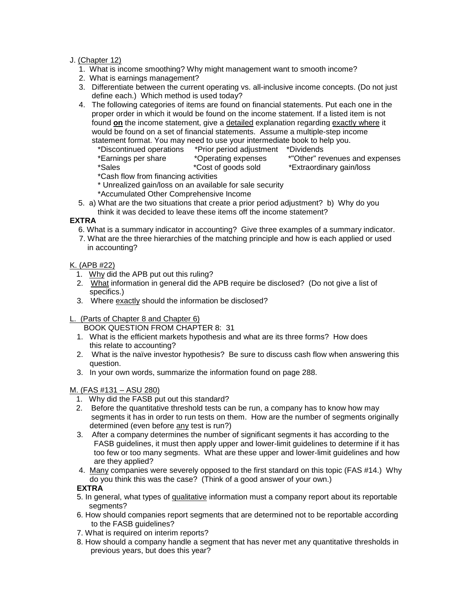#### J. (Chapter 12)

- 1. What is income smoothing? Why might management want to smooth income?
- 2. What is earnings management?
- 3. Differentiate between the current operating vs. all-inclusive income concepts. (Do not just define each.) Which method is used today?
- 4. The following categories of items are found on financial statements. Put each one in the proper order in which it would be found on the income statement. If a listed item is not found **on** the income statement, give a detailed explanation regarding exactly where it would be found on a set of financial statements. Assume a multiple-step income statement format. You may need to use your intermediate book to help you.
	- \*Discontinued operations \*Prior period adjustment \*Dividends \*Earnings per share \*Operating expenses \*"Other" revenues and expenses \*Extraordinary gain/loss
	- \*Cash flow from financing activities
	- \* Unrealized gain/loss on an available for sale security
	- \*Accumulated Other Comprehensive Income
- 5. a) What are the two situations that create a prior period adjustment? b) Why do you think it was decided to leave these items off the income statement?

## **EXTRA**

- 6. What is a summary indicator in accounting? Give three examples of a summary indicator.
- 7. What are the three hierarchies of the matching principle and how is each applied or used in accounting?

## K. (APB #22)

- 1. Why did the APB put out this ruling?
- 2. What information in general did the APB require be disclosed? (Do not give a list of specifics.)
- 3. Where exactly should the information be disclosed?
- L. (Parts of Chapter 8 and Chapter 6)

BOOK QUESTION FROM CHAPTER 8: 31

- 1. What is the efficient markets hypothesis and what are its three forms? How does this relate to accounting?
- 2. What is the naïve investor hypothesis? Be sure to discuss cash flow when answering this question.
- 3. In your own words, summarize the information found on page 288.

#### M. (FAS #131 – ASU 280)

- 1. Why did the FASB put out this standard?
- 2. Before the quantitative threshold tests can be run, a company has to know how may segments it has in order to run tests on them. How are the number of segments originally determined (even before any test is run?)
- 3. After a company determines the number of significant segments it has according to the FASB guidelines, it must then apply upper and lower-limit guidelines to determine if it has too few or too many segments. What are these upper and lower-limit guidelines and how are they applied?
- 4. Many companies were severely opposed to the first standard on this topic (FAS #14.) Why do you think this was the case? (Think of a good answer of your own.)

# **EXTRA**

- 5. In general, what types of qualitative information must a company report about its reportable segments?
- 6. How should companies report segments that are determined not to be reportable according to the FASB guidelines?
- 7. What is required on interim reports?
- 8. How should a company handle a segment that has never met any quantitative thresholds in previous years, but does this year?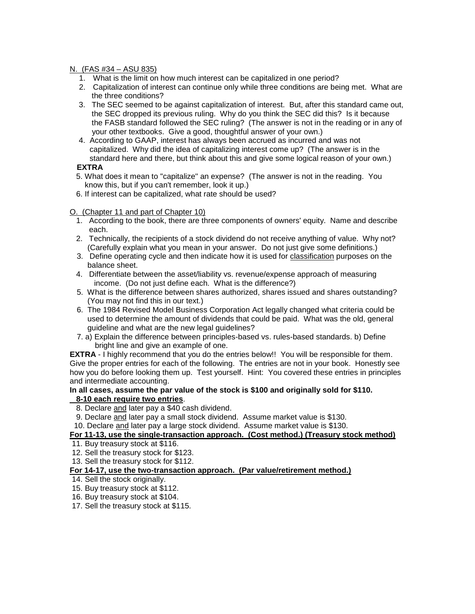#### N. (FAS #34 – ASU 835)

- 1. What is the limit on how much interest can be capitalized in one period?
- 2. Capitalization of interest can continue only while three conditions are being met. What are the three conditions?
- 3. The SEC seemed to be against capitalization of interest. But, after this standard came out, the SEC dropped its previous ruling. Why do you think the SEC did this? Is it because the FASB standard followed the SEC ruling? (The answer is not in the reading or in any of your other textbooks. Give a good, thoughtful answer of your own.)
- 4. According to GAAP, interest has always been accrued as incurred and was not capitalized. Why did the idea of capitalizing interest come up? (The answer is in the standard here and there, but think about this and give some logical reason of your own.)

#### **EXTRA**

- 5. What does it mean to "capitalize" an expense? (The answer is not in the reading. You know this, but if you can't remember, look it up.)
- 6. If interest can be capitalized, what rate should be used?

#### O. (Chapter 11 and part of Chapter 10)

- 1. According to the book, there are three components of owners' equity. Name and describe each.
- 2. Technically, the recipients of a stock dividend do not receive anything of value. Why not? (Carefully explain what you mean in your answer. Do not just give some definitions.)
- 3. Define operating cycle and then indicate how it is used for classification purposes on the balance sheet.
- 4. Differentiate between the asset/liability vs. revenue/expense approach of measuring income. (Do not just define each. What is the difference?)
- 5. What is the difference between shares authorized, shares issued and shares outstanding? (You may not find this in our text.)
- 6. The 1984 Revised Model Business Corporation Act legally changed what criteria could be used to determine the amount of dividends that could be paid. What was the old, general guideline and what are the new legal guidelines?
- 7. a) Explain the difference between principles-based vs. rules-based standards. b) Define bright line and give an example of one.

**EXTRA** - I highly recommend that you do the entries below!! You will be responsible for them. Give the proper entries for each of the following. The entries are not in your book. Honestly see how you do before looking them up. Test yourself. Hint: You covered these entries in principles and intermediate accounting.

#### **In all cases, assume the par value of the stock is \$100 and originally sold for \$110. 8-10 each require two entries**.

- 8. Declare and later pay a \$40 cash dividend.
- 9. Declare and later pay a small stock dividend. Assume market value is \$130.
- 10. Declare and later pay a large stock dividend. Assume market value is \$130.

#### **For 11-13, use the single-transaction approach. (Cost method.) (Treasury stock method)**

- 11. Buy treasury stock at \$116.
- 12. Sell the treasury stock for \$123.
- 13. Sell the treasury stock for \$112.

#### **For 14-17, use the two-transaction approach. (Par value/retirement method.)**

- 14. Sell the stock originally.
- 15. Buy treasury stock at \$112.
- 16. Buy treasury stock at \$104.
- 17. Sell the treasury stock at \$115.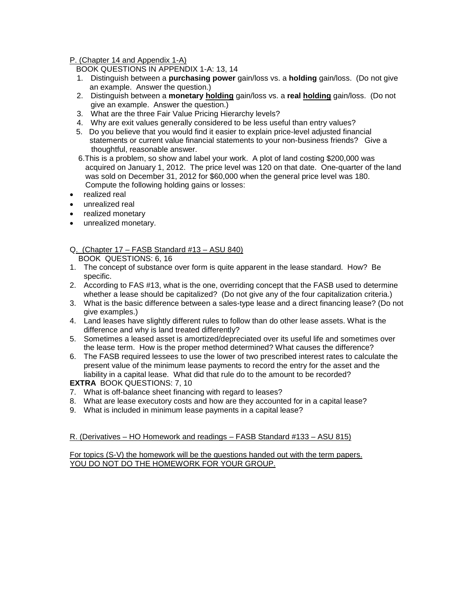P. (Chapter 14 and Appendix 1-A)

BOOK QUESTIONS IN APPENDIX 1-A: 13, 14

- 1. Distinguish between a **purchasing power** gain/loss vs. a **holding** gain/loss. (Do not give an example. Answer the question.)
- 2. Distinguish between a **monetary holding** gain/loss vs. a **real holding** gain/loss. (Do not give an example. Answer the question.)
- 3. What are the three Fair Value Pricing Hierarchy levels?
- 4. Why are exit values generally considered to be less useful than entry values?
- 5. Do you believe that you would find it easier to explain price-level adjusted financial statements or current value financial statements to your non-business friends? Give a thoughtful, reasonable answer.
- 6.This is a problem, so show and label your work. A plot of land costing \$200,000 was acquired on January 1, 2012. The price level was 120 on that date. One-quarter of the land was sold on December 31, 2012 for \$60,000 when the general price level was 180. Compute the following holding gains or losses:
- realized real
- unrealized real
- realized monetary
- unrealized monetary.

#### Q. (Chapter 17 – FASB Standard #13 – ASU 840) BOOK QUESTIONS: 6, 16

- 1. The concept of substance over form is quite apparent in the lease standard. How? Be specific.
- 2. According to FAS #13, what is the one, overriding concept that the FASB used to determine whether a lease should be capitalized? (Do not give any of the four capitalization criteria.)
- 3. What is the basic difference between a sales-type lease and a direct financing lease? (Do not give examples.)
- 4. Land leases have slightly different rules to follow than do other lease assets. What is the difference and why is land treated differently?
- 5. Sometimes a leased asset is amortized/depreciated over its useful life and sometimes over the lease term. How is the proper method determined? What causes the difference?
- 6. The FASB required lessees to use the lower of two prescribed interest rates to calculate the present value of the minimum lease payments to record the entry for the asset and the liability in a capital lease. What did that rule do to the amount to be recorded?

#### **EXTRA** BOOK QUESTIONS: 7, 10

- 7. What is off-balance sheet financing with regard to leases?
- 8. What are lease executory costs and how are they accounted for in a capital lease?
- 9. What is included in minimum lease payments in a capital lease?

#### R. (Derivatives – HO Homework and readings – FASB Standard #133 – ASU 815)

For topics (S-V) the homework will be the questions handed out with the term papers. YOU DO NOT DO THE HOMEWORK FOR YOUR GROUP.